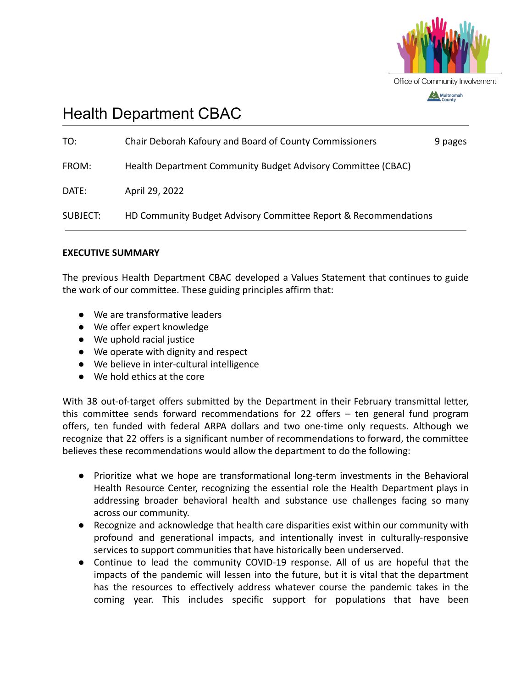

# Health Department CBAC

| DATE: | April 29, 2022 |  |
|-------|----------------|--|
|       |                |  |

#### **EXECUTIVE SUMMARY**

The previous Health Department CBAC developed a Values Statement that continues to guide the work of our committee. These guiding principles affirm that:

- We are transformative leaders
- We offer expert knowledge
- We uphold racial justice
- We operate with dignity and respect
- We believe in inter-cultural intelligence
- We hold ethics at the core

With 38 out-of-target offers submitted by the Department in their February transmittal letter, this committee sends forward recommendations for 22 offers – ten general fund program offers, ten funded with federal ARPA dollars and two one-time only requests. Although we recognize that 22 offers is a significant number of recommendations to forward, the committee believes these recommendations would allow the department to do the following:

- Prioritize what we hope are transformational long-term investments in the Behavioral Health Resource Center, recognizing the essential role the Health Department plays in addressing broader behavioral health and substance use challenges facing so many across our community.
- Recognize and acknowledge that health care disparities exist within our community with profound and generational impacts, and intentionally invest in culturally-responsive services to support communities that have historically been underserved.
- Continue to lead the community COVID-19 response. All of us are hopeful that the impacts of the pandemic will lessen into the future, but it is vital that the department has the resources to effectively address whatever course the pandemic takes in the coming year. This includes specific support for populations that have been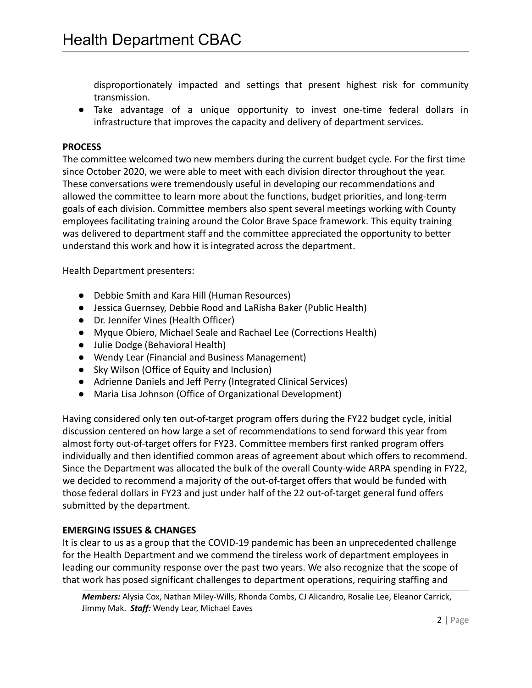disproportionately impacted and settings that present highest risk for community transmission.

● Take advantage of a unique opportunity to invest one-time federal dollars in infrastructure that improves the capacity and delivery of department services.

#### **PROCESS**

The committee welcomed two new members during the current budget cycle. For the first time since October 2020, we were able to meet with each division director throughout the year. These conversations were tremendously useful in developing our recommendations and allowed the committee to learn more about the functions, budget priorities, and long-term goals of each division. Committee members also spent several meetings working with County employees facilitating training around the Color Brave Space framework. This equity training was delivered to department staff and the committee appreciated the opportunity to better understand this work and how it is integrated across the department.

Health Department presenters:

- Debbie Smith and Kara Hill (Human Resources)
- Jessica Guernsey, Debbie Rood and LaRisha Baker (Public Health)
- Dr. Jennifer Vines (Health Officer)
- Myque Obiero, Michael Seale and Rachael Lee (Corrections Health)
- Julie Dodge (Behavioral Health)
- Wendy Lear (Financial and Business Management)
- Sky Wilson (Office of Equity and Inclusion)
- Adrienne Daniels and Jeff Perry (Integrated Clinical Services)
- Maria Lisa Johnson (Office of Organizational Development)

Having considered only ten out-of-target program offers during the FY22 budget cycle, initial discussion centered on how large a set of recommendations to send forward this year from almost forty out-of-target offers for FY23. Committee members first ranked program offers individually and then identified common areas of agreement about which offers to recommend. Since the Department was allocated the bulk of the overall County-wide ARPA spending in FY22, we decided to recommend a majority of the out-of-target offers that would be funded with those federal dollars in FY23 and just under half of the 22 out-of-target general fund offers submitted by the department.

## **EMERGING ISSUES & CHANGES**

It is clear to us as a group that the COVID-19 pandemic has been an unprecedented challenge for the Health Department and we commend the tireless work of department employees in leading our community response over the past two years. We also recognize that the scope of that work has posed significant challenges to department operations, requiring staffing and

*Members:* Alysia Cox, Nathan Miley-Wills, Rhonda Combs, CJ Alicandro, Rosalie Lee, Eleanor Carrick, Jimmy Mak. *Staff:* Wendy Lear, Michael Eaves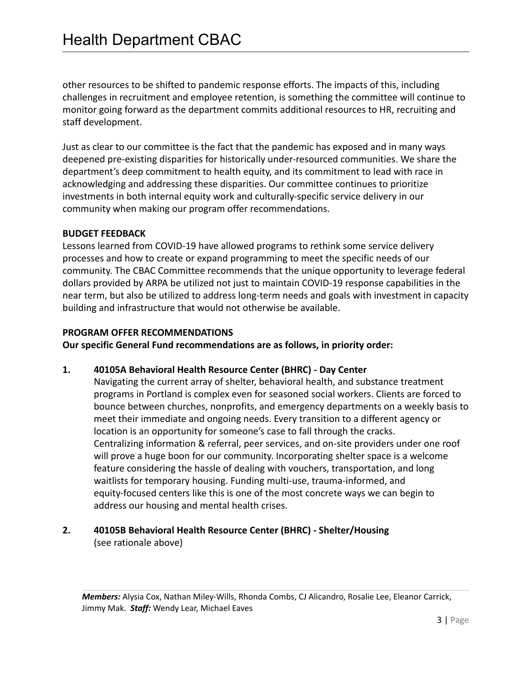other resources to be shifted to pandemic response efforts. The impacts of this, including challenges in recruitment and employee retention, is something the committee will continue to monitor going forward as the department commits additional resources to HR, recruiting and staff development.

Just as clear to our committee is the fact that the pandemic has exposed and in many ways deepened pre-existing disparities for historically under-resourced communities. We share the department's deep commitment to health equity, and its commitment to lead with race in acknowledging and addressing these disparities. Our committee continues to prioritize investments in both internal equity work and culturally-specific service delivery in our community when making our program offer recommendations.

#### **BUDGET FEEDBACK**

Lessons learned from COVID-19 have allowed programs to rethink some service delivery processes and how to create or expand programming to meet the specific needs of our community. The CBAC Committee recommends that the unique opportunity to leverage federal dollars provided by ARPA be utilized not just to maintain COVID-19 response capabilities in the near term, but also be utilized to address long-term needs and goals with investment in capacity building and infrastructure that would not otherwise be available.

#### **PROGRAM OFFER RECOMMENDATIONS**

**Our specific General Fund recommendations are as follows, in priority order:**

## **1. 40105A Behavioral Health Resource Center (BHRC) - Day Center**

Navigating the current array of shelter, behavioral health, and substance treatment programs in Portland is complex even for seasoned social workers. Clients are forced to bounce between churches, nonprofits, and emergency departments on a weekly basis to meet their immediate and ongoing needs. Every transition to a different agency or location is an opportunity for someone's case to fall through the cracks. Centralizing information & referral, peer services, and on-site providers under one roof will prove a huge boon for our community. Incorporating shelter space is a welcome feature considering the hassle of dealing with vouchers, transportation, and long waitlists for temporary housing. Funding multi-use, trauma-informed, and equity-focused centers like this is one of the most concrete ways we can begin to address our housing and mental health crises.

## **2. 40105B Behavioral Health Resource Center (BHRC) - Shelter/Housing** (see rationale above)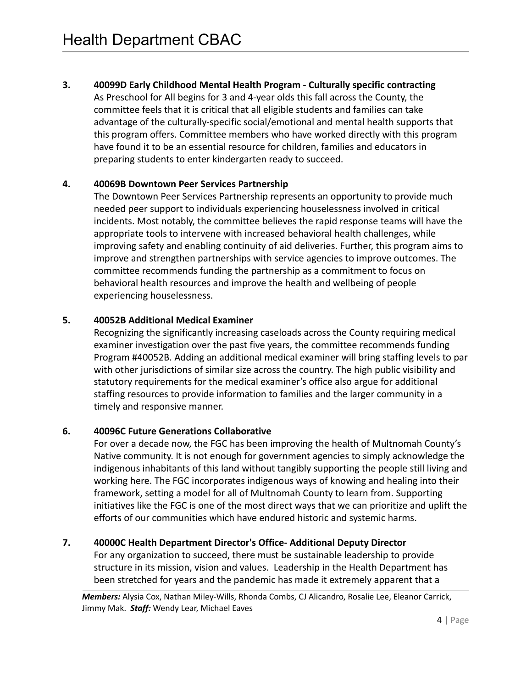**3. 40099D Early Childhood Mental Health Program - Culturally specific contracting** As Preschool for All begins for 3 and 4-year olds this fall across the County, the committee feels that it is critical that all eligible students and families can take advantage of the culturally-specific social/emotional and mental health supports that this program offers. Committee members who have worked directly with this program have found it to be an essential resource for children, families and educators in preparing students to enter kindergarten ready to succeed.

#### **4. 40069B Downtown Peer Services Partnership**

The Downtown Peer Services Partnership represents an opportunity to provide much needed peer support to individuals experiencing houselessness involved in critical incidents. Most notably, the committee believes the rapid response teams will have the appropriate tools to intervene with increased behavioral health challenges, while improving safety and enabling continuity of aid deliveries. Further, this program aims to improve and strengthen partnerships with service agencies to improve outcomes. The committee recommends funding the partnership as a commitment to focus on behavioral health resources and improve the health and wellbeing of people experiencing houselessness.

## **5. 40052B Additional Medical Examiner**

Recognizing the significantly increasing caseloads across the County requiring medical examiner investigation over the past five years, the committee recommends funding Program #40052B. Adding an additional medical examiner will bring staffing levels to par with other jurisdictions of similar size across the country. The high public visibility and statutory requirements for the medical examiner's office also argue for additional staffing resources to provide information to families and the larger community in a timely and responsive manner.

## **6. 40096C Future Generations Collaborative**

For over a decade now, the FGC has been improving the health of Multnomah County's Native community. It is not enough for government agencies to simply acknowledge the indigenous inhabitants of this land without tangibly supporting the people still living and working here. The FGC incorporates indigenous ways of knowing and healing into their framework, setting a model for all of Multnomah County to learn from. Supporting initiatives like the FGC is one of the most direct ways that we can prioritize and uplift the efforts of our communities which have endured historic and systemic harms.

# **7. 40000C Health Department Director's Office- Additional Deputy Director**

For any organization to succeed, there must be sustainable leadership to provide structure in its mission, vision and values. Leadership in the Health Department has been stretched for years and the pandemic has made it extremely apparent that a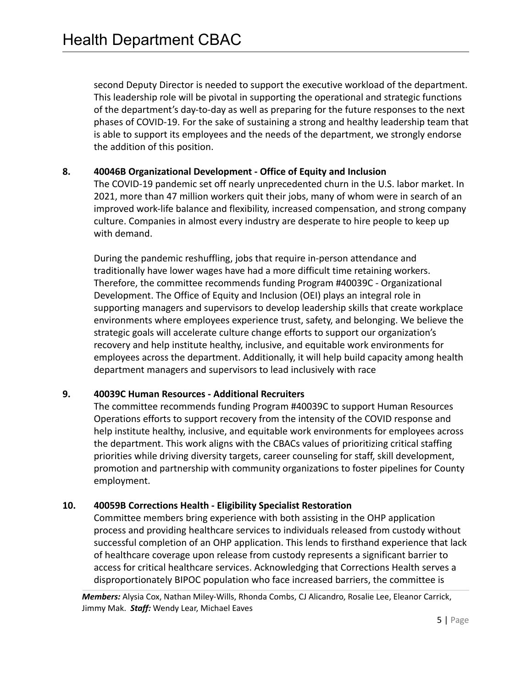second Deputy Director is needed to support the executive workload of the department. This leadership role will be pivotal in supporting the operational and strategic functions of the department's day-to-day as well as preparing for the future responses to the next phases of COVID-19. For the sake of sustaining a strong and healthy leadership team that is able to support its employees and the needs of the department, we strongly endorse the addition of this position.

#### **8. 40046B Organizational Development - Office of Equity and Inclusion**

The COVID-19 pandemic set off nearly unprecedented churn in the U.S. labor market. In 2021, more than 47 million workers quit their jobs, many of whom were in search of an improved work-life balance and flexibility, increased compensation, and strong company culture. Companies in almost every industry are desperate to hire people to keep up with demand.

During the pandemic reshuffling, jobs that require in-person attendance and traditionally have lower wages have had a more difficult time retaining workers. Therefore, the committee recommends funding Program #40039C - Organizational Development. The Office of Equity and Inclusion (OEI) plays an integral role in supporting managers and supervisors to develop leadership skills that create workplace environments where employees experience trust, safety, and belonging. We believe the strategic goals will accelerate culture change efforts to support our organization's recovery and help institute healthy, inclusive, and equitable work environments for employees across the department. Additionally, it will help build capacity among health department managers and supervisors to lead inclusively with race

## **9. 40039C Human Resources - Additional Recruiters**

The committee recommends funding Program #40039C to support Human Resources Operations efforts to support recovery from the intensity of the COVID response and help institute healthy, inclusive, and equitable work environments for employees across the department. This work aligns with the CBACs values of prioritizing critical staffing priorities while driving diversity targets, career counseling for staff, skill development, promotion and partnership with community organizations to foster pipelines for County employment.

## **10. 40059B Corrections Health - Eligibility Specialist Restoration**

Committee members bring experience with both assisting in the OHP application process and providing healthcare services to individuals released from custody without successful completion of an OHP application. This lends to firsthand experience that lack of healthcare coverage upon release from custody represents a significant barrier to access for critical healthcare services. Acknowledging that Corrections Health serves a disproportionately BIPOC population who face increased barriers, the committee is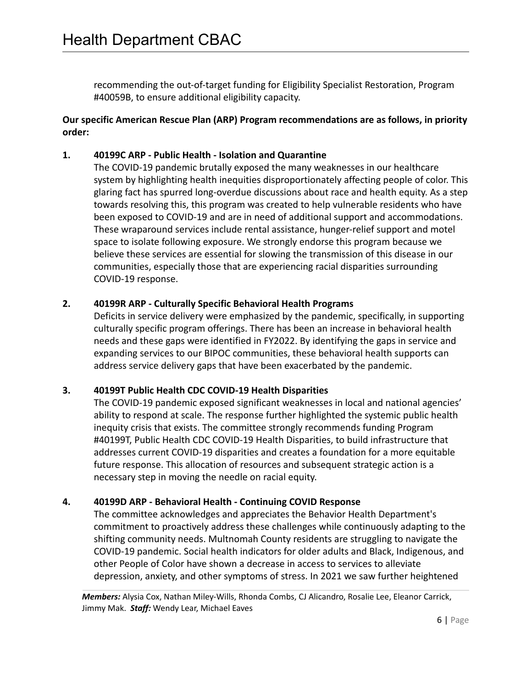recommending the out-of-target funding for Eligibility Specialist Restoration, Program #40059B, to ensure additional eligibility capacity.

## **Our specific American Rescue Plan (ARP) Program recommendations are as follows, in priority order:**

## **1. 40199C ARP - Public Health - Isolation and Quarantine**

The COVID-19 pandemic brutally exposed the many weaknesses in our healthcare system by highlighting health inequities disproportionately affecting people of color. This glaring fact has spurred long-overdue discussions about race and health equity. As a step towards resolving this, this program was created to help vulnerable residents who have been exposed to COVID-19 and are in need of additional support and accommodations. These wraparound services include rental assistance, hunger-relief support and motel space to isolate following exposure. We strongly endorse this program because we believe these services are essential for slowing the transmission of this disease in our communities, especially those that are experiencing racial disparities surrounding COVID-19 response.

## **2. 40199R ARP - Culturally Specific Behavioral Health Programs**

Deficits in service delivery were emphasized by the pandemic, specifically, in supporting culturally specific program offerings. There has been an increase in behavioral health needs and these gaps were identified in FY2022. By identifying the gaps in service and expanding services to our BIPOC communities, these behavioral health supports can address service delivery gaps that have been exacerbated by the pandemic.

## **3. 40199T Public Health CDC COVID-19 Health Disparities**

The COVID-19 pandemic exposed significant weaknesses in local and national agencies' ability to respond at scale. The response further highlighted the systemic public health inequity crisis that exists. The committee strongly recommends funding Program #40199T, Public Health CDC COVID-19 Health Disparities, to build infrastructure that addresses current COVID-19 disparities and creates a foundation for a more equitable future response. This allocation of resources and subsequent strategic action is a necessary step in moving the needle on racial equity.

## **4. 40199D ARP - Behavioral Health - Continuing COVID Response**

The committee acknowledges and appreciates the Behavior Health Department's commitment to proactively address these challenges while continuously adapting to the shifting community needs. Multnomah County residents are struggling to navigate the COVID-19 pandemic. Social health indicators for older adults and Black, Indigenous, and other People of Color have shown a decrease in access to services to alleviate depression, anxiety, and other symptoms of stress. In 2021 we saw further heightened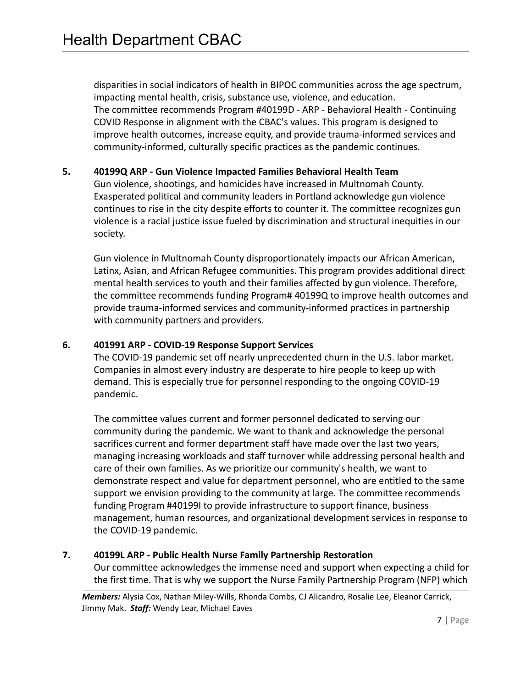disparities in social indicators of health in BIPOC communities across the age spectrum, impacting mental health, crisis, substance use, violence, and education. The committee recommends Program #40199D - ARP - Behavioral Health - Continuing COVID Response in alignment with the CBAC's values. This program is designed to improve health outcomes, increase equity, and provide trauma-informed services and community-informed, culturally specific practices as the pandemic continues.

## **5. 40199Q ARP - Gun Violence Impacted Families Behavioral Health Team**

Gun violence, shootings, and homicides have increased in Multnomah County. Exasperated political and community leaders in Portland acknowledge gun violence continues to rise in the city despite efforts to counter it. The committee recognizes gun violence is a racial justice issue fueled by discrimination and structural inequities in our society.

Gun violence in Multnomah County disproportionately impacts our African American, Latinx, Asian, and African Refugee communities. This program provides additional direct mental health services to youth and their families affected by gun violence. Therefore, the committee recommends funding Program# 40199Q to improve health outcomes and provide trauma-informed services and community-informed practices in partnership with community partners and providers.

#### **6. 401991 ARP - COVID-19 Response Support Services**

The COVID-19 pandemic set off nearly unprecedented churn in the U.S. labor market. Companies in almost every industry are desperate to hire people to keep up with demand. This is especially true for personnel responding to the ongoing COVID-19 pandemic.

The committee values current and former personnel dedicated to serving our community during the pandemic. We want to thank and acknowledge the personal sacrifices current and former department staff have made over the last two years, managing increasing workloads and staff turnover while addressing personal health and care of their own families. As we prioritize our community's health, we want to demonstrate respect and value for department personnel, who are entitled to the same support we envision providing to the community at large. The committee recommends funding Program #40199I to provide infrastructure to support finance, business management, human resources, and organizational development services in response to the COVID-19 pandemic.

#### **7. 40199L ARP - Public Health Nurse Family Partnership Restoration**

Our committee acknowledges the immense need and support when expecting a child for the first time. That is why we support the Nurse Family Partnership Program (NFP) which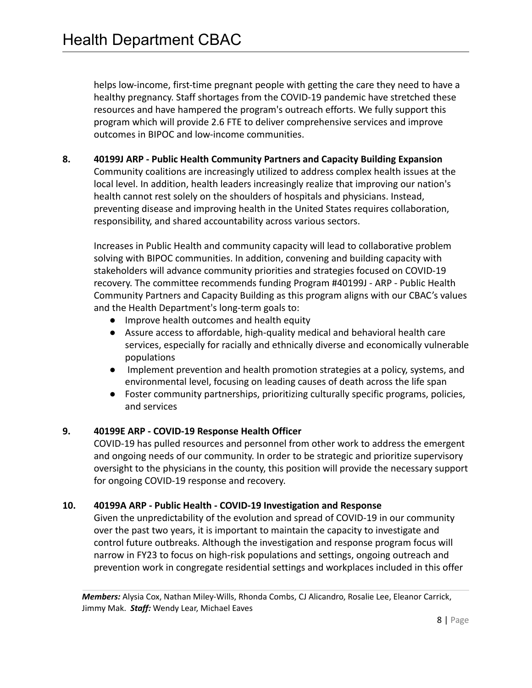helps low-income, first-time pregnant people with getting the care they need to have a healthy pregnancy. Staff shortages from the COVID-19 pandemic have stretched these resources and have hampered the program's outreach efforts. We fully support this program which will provide 2.6 FTE to deliver comprehensive services and improve outcomes in BIPOC and low-income communities.

**8. 40199J ARP - Public Health Community Partners and Capacity Building Expansion**

Community coalitions are increasingly utilized to address complex health issues at the local level. In addition, health leaders increasingly realize that improving our nation's health cannot rest solely on the shoulders of hospitals and physicians. Instead, preventing disease and improving health in the United States requires collaboration, responsibility, and shared accountability across various sectors.

Increases in Public Health and community capacity will lead to collaborative problem solving with BIPOC communities. In addition, convening and building capacity with stakeholders will advance community priorities and strategies focused on COVID-19 recovery. The committee recommends funding Program #40199J - ARP - Public Health Community Partners and Capacity Building as this program aligns with our CBAC's values and the Health Department's long-term goals to:

- Improve health outcomes and health equity
- Assure access to affordable, high-quality medical and behavioral health care services, especially for racially and ethnically diverse and economically vulnerable populations
- Implement prevention and health promotion strategies at a policy, systems, and environmental level, focusing on leading causes of death across the life span
- Foster community partnerships, prioritizing culturally specific programs, policies, and services

# **9. 40199E ARP - COVID-19 Response Health Officer**

COVID-19 has pulled resources and personnel from other work to address the emergent and ongoing needs of our community. In order to be strategic and prioritize supervisory oversight to the physicians in the county, this position will provide the necessary support for ongoing COVID-19 response and recovery.

## **10. 40199A ARP - Public Health - COVID-19 Investigation and Response**

Given the unpredictability of the evolution and spread of COVID-19 in our community over the past two years, it is important to maintain the capacity to investigate and control future outbreaks. Although the investigation and response program focus will narrow in FY23 to focus on high-risk populations and settings, ongoing outreach and prevention work in congregate residential settings and workplaces included in this offer